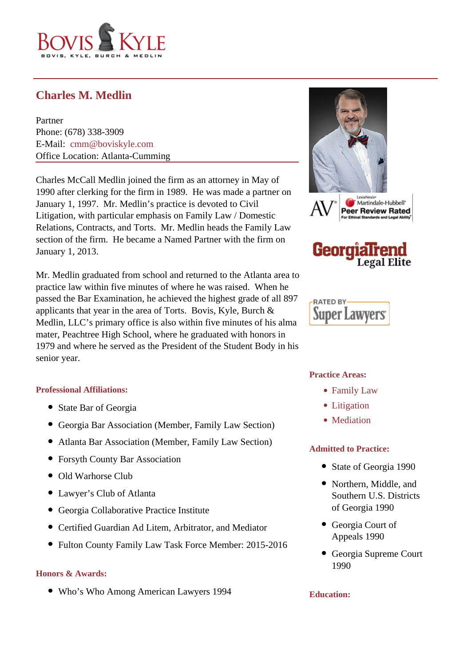

# **Charles M. Medlin**

Partner Phone: (678) 338-3909 E-Mail: [cmm@boviskyle.com](mailto:cmm@boviskyle.com ) Office Location: Atlanta-Cumming

Charles McCall Medlin joined the firm as an attorney in May of 1990 after clerking for the firm in 1989. He was made a partner on January 1, 1997. Mr. Medlin's practice is devoted to Civil Litigation, with particular emphasis on Family Law / Domestic Relations, Contracts, and Torts. Mr. Medlin heads the Family Law section of the firm. He became a Named Partner with the firm on January 1, 2013.

Mr. Medlin graduated from school and returned to the Atlanta area to practice law within five minutes of where he was raised. When he passed the Bar Examination, he achieved the highest grade of all 897 applicants that year in the area of Torts. Bovis, Kyle, Burch & Medlin, LLC's primary office is also within five minutes of his alma mater, Peachtree High School, where he graduated with honors in 1979 and where he served as the President of the Student Body in his senior year.

## **Professional Affiliations:**

- State Bar of Georgia
- Georgia Bar Association (Member, Family Law Section)
- Atlanta Bar Association (Member, Family Law Section)
- Forsyth County Bar Association
- Old Warhorse Club
- Lawyer's Club of Atlanta
- Georgia Collaborative Practice Institute
- Certified Guardian Ad Litem, Arbitrator, and Mediator
- Fulton County Family Law Task Force Member: 2015-2016

## **Honors & Awards:**

Who's Who Among American Lawyers 1994





RATED BY-**Super Lawvers** 

#### **Practice Areas:**

- Family Law
- Litigation
- Mediation

#### **Admitted to Practice:**

- State of Georgia 1990
- Northern, Middle, and Southern U.S. Districts of Georgia 1990
- Georgia Court of Appeals 1990
- Georgia Supreme Court 1990

#### **Education:**